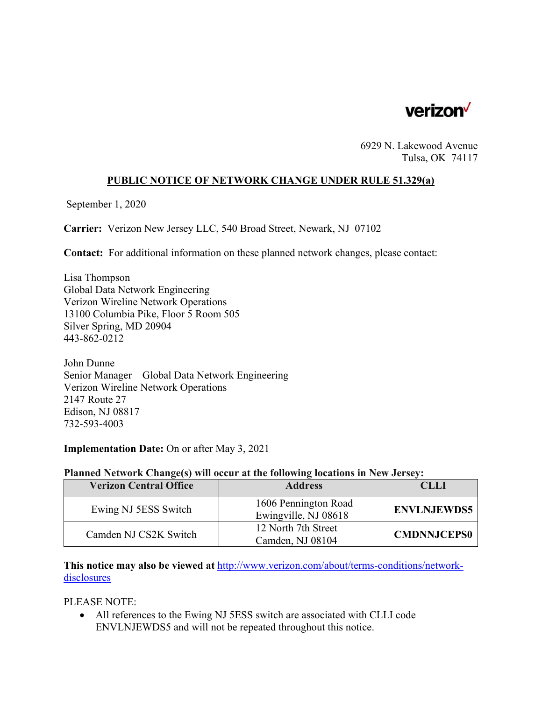

6929 N. Lakewood Avenue Tulsa, OK 74117

### **PUBLIC NOTICE OF NETWORK CHANGE UNDER RULE 51.329(a)**

September 1, 2020

**Carrier:** Verizon New Jersey LLC, 540 Broad Street, Newark, NJ 07102

**Contact:** For additional information on these planned network changes, please contact:

Lisa Thompson Global Data Network Engineering Verizon Wireline Network Operations 13100 Columbia Pike, Floor 5 Room 505 Silver Spring, MD 20904 443-862-0212

John Dunne Senior Manager – Global Data Network Engineering Verizon Wireline Network Operations 2147 Route 27 Edison, NJ 08817 732-593-4003

### **Implementation Date:** On or after May 3, 2021

#### **Planned Network Change(s) will occur at the following locations in New Jersey:**

| <b>Verizon Central Office</b> | <b>Address</b>                               | CLLI               |
|-------------------------------|----------------------------------------------|--------------------|
| Ewing NJ 5ESS Switch          | 1606 Pennington Road<br>Ewingville, NJ 08618 | <b>ENVLNJEWDS5</b> |
| Camden NJ CS2K Switch         | 12 North 7th Street<br>Camden, NJ 08104      | <b>CMDNNJCEPS0</b> |

**This notice may also be viewed at** http://www.verizon.com/about/terms-conditions/networkdisclosures

PLEASE NOTE:

 All references to the Ewing NJ 5ESS switch are associated with CLLI code ENVLNJEWDS5 and will not be repeated throughout this notice.